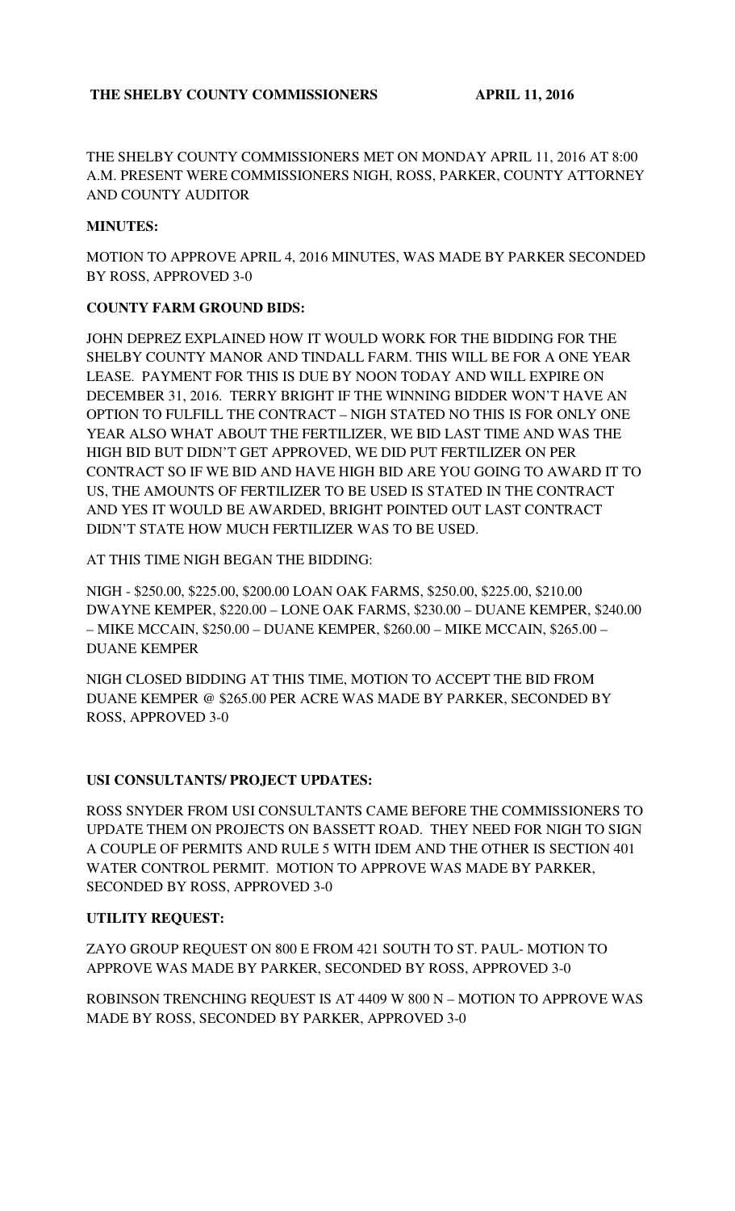THE SHELBY COUNTY COMMISSIONERS MET ON MONDAY APRIL 11, 2016 AT 8:00 A.M. PRESENT WERE COMMISSIONERS NIGH, ROSS, PARKER, COUNTY ATTORNEY AND COUNTY AUDITOR

## **MINUTES:**

MOTION TO APPROVE APRIL 4, 2016 MINUTES, WAS MADE BY PARKER SECONDED BY ROSS, APPROVED 3-0

# **COUNTY FARM GROUND BIDS:**

JOHN DEPREZ EXPLAINED HOW IT WOULD WORK FOR THE BIDDING FOR THE SHELBY COUNTY MANOR AND TINDALL FARM. THIS WILL BE FOR A ONE YEAR LEASE. PAYMENT FOR THIS IS DUE BY NOON TODAY AND WILL EXPIRE ON DECEMBER 31, 2016. TERRY BRIGHT IF THE WINNING BIDDER WON'T HAVE AN OPTION TO FULFILL THE CONTRACT – NIGH STATED NO THIS IS FOR ONLY ONE YEAR ALSO WHAT ABOUT THE FERTILIZER, WE BID LAST TIME AND WAS THE HIGH BID BUT DIDN'T GET APPROVED, WE DID PUT FERTILIZER ON PER CONTRACT SO IF WE BID AND HAVE HIGH BID ARE YOU GOING TO AWARD IT TO US, THE AMOUNTS OF FERTILIZER TO BE USED IS STATED IN THE CONTRACT AND YES IT WOULD BE AWARDED, BRIGHT POINTED OUT LAST CONTRACT DIDN'T STATE HOW MUCH FERTILIZER WAS TO BE USED.

AT THIS TIME NIGH BEGAN THE BIDDING:

NIGH - \$250.00, \$225.00, \$200.00 LOAN OAK FARMS, \$250.00, \$225.00, \$210.00 DWAYNE KEMPER, \$220.00 – LONE OAK FARMS, \$230.00 – DUANE KEMPER, \$240.00 – MIKE MCCAIN, \$250.00 – DUANE KEMPER, \$260.00 – MIKE MCCAIN, \$265.00 – DUANE KEMPER

NIGH CLOSED BIDDING AT THIS TIME, MOTION TO ACCEPT THE BID FROM DUANE KEMPER @ \$265.00 PER ACRE WAS MADE BY PARKER, SECONDED BY ROSS, APPROVED 3-0

# **USI CONSULTANTS/ PROJECT UPDATES:**

ROSS SNYDER FROM USI CONSULTANTS CAME BEFORE THE COMMISSIONERS TO UPDATE THEM ON PROJECTS ON BASSETT ROAD. THEY NEED FOR NIGH TO SIGN A COUPLE OF PERMITS AND RULE 5 WITH IDEM AND THE OTHER IS SECTION 401 WATER CONTROL PERMIT. MOTION TO APPROVE WAS MADE BY PARKER, SECONDED BY ROSS, APPROVED 3-0

### **UTILITY REQUEST:**

ZAYO GROUP REQUEST ON 800 E FROM 421 SOUTH TO ST. PAUL- MOTION TO APPROVE WAS MADE BY PARKER, SECONDED BY ROSS, APPROVED 3-0

ROBINSON TRENCHING REQUEST IS AT 4409 W 800 N – MOTION TO APPROVE WAS MADE BY ROSS, SECONDED BY PARKER, APPROVED 3-0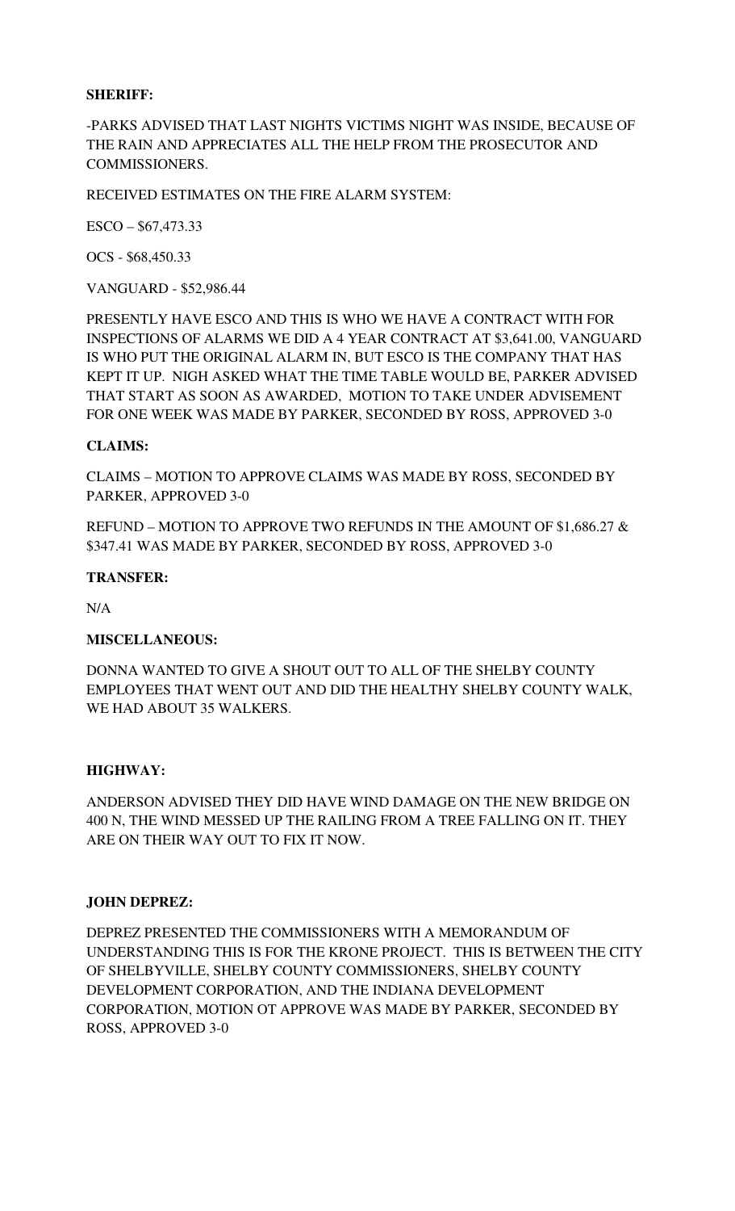### **SHERIFF:**

-PARKS ADVISED THAT LAST NIGHTS VICTIMS NIGHT WAS INSIDE, BECAUSE OF THE RAIN AND APPRECIATES ALL THE HELP FROM THE PROSECUTOR AND COMMISSIONERS.

RECEIVED ESTIMATES ON THE FIRE ALARM SYSTEM:

ESCO – \$67,473.33

OCS - \$68,450.33

VANGUARD - \$52,986.44

PRESENTLY HAVE ESCO AND THIS IS WHO WE HAVE A CONTRACT WITH FOR INSPECTIONS OF ALARMS WE DID A 4 YEAR CONTRACT AT \$3,641.00, VANGUARD IS WHO PUT THE ORIGINAL ALARM IN, BUT ESCO IS THE COMPANY THAT HAS KEPT IT UP. NIGH ASKED WHAT THE TIME TABLE WOULD BE, PARKER ADVISED THAT START AS SOON AS AWARDED, MOTION TO TAKE UNDER ADVISEMENT FOR ONE WEEK WAS MADE BY PARKER, SECONDED BY ROSS, APPROVED 3-0

### **CLAIMS:**

CLAIMS – MOTION TO APPROVE CLAIMS WAS MADE BY ROSS, SECONDED BY PARKER, APPROVED 3-0

REFUND – MOTION TO APPROVE TWO REFUNDS IN THE AMOUNT OF \$1,686.27 & \$347.41 WAS MADE BY PARKER, SECONDED BY ROSS, APPROVED 3-0

#### **TRANSFER:**

N/A

#### **MISCELLANEOUS:**

DONNA WANTED TO GIVE A SHOUT OUT TO ALL OF THE SHELBY COUNTY EMPLOYEES THAT WENT OUT AND DID THE HEALTHY SHELBY COUNTY WALK, WE HAD ABOUT 35 WALKERS.

#### **HIGHWAY:**

ANDERSON ADVISED THEY DID HAVE WIND DAMAGE ON THE NEW BRIDGE ON 400 N, THE WIND MESSED UP THE RAILING FROM A TREE FALLING ON IT. THEY ARE ON THEIR WAY OUT TO FIX IT NOW.

#### **JOHN DEPREZ:**

DEPREZ PRESENTED THE COMMISSIONERS WITH A MEMORANDUM OF UNDERSTANDING THIS IS FOR THE KRONE PROJECT. THIS IS BETWEEN THE CITY OF SHELBYVILLE, SHELBY COUNTY COMMISSIONERS, SHELBY COUNTY DEVELOPMENT CORPORATION, AND THE INDIANA DEVELOPMENT CORPORATION, MOTION OT APPROVE WAS MADE BY PARKER, SECONDED BY ROSS, APPROVED 3-0